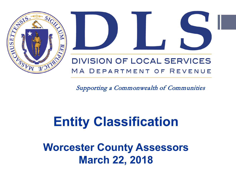



Supporting a Commonwealth of Communities

# **Entity Classification**

**Worcester County Assessors March 22, 2018**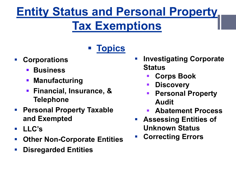### **Entity Status and Personal Property Tax Exemptions**

#### **Topics**

- **Corporations**
	- **Business**
	- **Manufacturing**
	- **Financial, Insurance, & Telephone**
- **Personal Property Taxable and Exempted**
- **LLC's**
- **Other Non-Corporate Entities**
- **Disregarded Entities**
- **Investigating Corporate Status**
	- **Corps Book**
	- **Discovery**
	- **Personal Property Audit**
	- **Abatement Process**
- **Assessing Entities of Unknown Status**
- **Correcting Errors**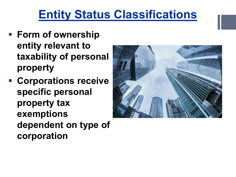#### **Entity Status Classifications**

- **Form of ownership entity relevant to taxability of personal property**
- **Corporations receive specific personal property tax exemptions dependent on type of corporation**

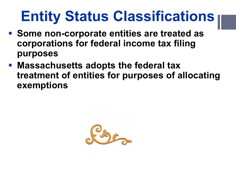# **Entity Status Classifications**

- **Some non-corporate entities are treated as corporations for federal income tax filing purposes**
- **Massachusetts adopts the federal tax treatment of entities for purposes of allocating exemptions**

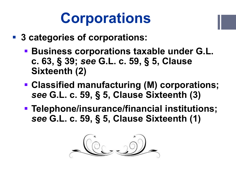# **Corporations**

- **3 categories of corporations:**
	- **Business corporations taxable under G.L. c. 63, § 39;** *see* **G.L. c. 59, § 5, Clause Sixteenth (2)**
	- **Classified manufacturing (M) corporations;**  *see* **G.L. c. 59, § 5, Clause Sixteenth (3)**
	- **Telephone/insurance/financial institutions;**  *see* **G.L. c. 59, § 5, Clause Sixteenth (1)**

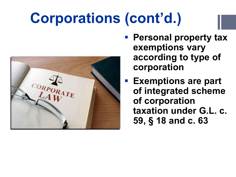# **Corporations (cont'd.)**



- **Personal property tax exemptions vary according to type of corporation**
- **Exemptions are part of integrated scheme of corporation taxation under G.L. c. 59, § 18 and c. 63**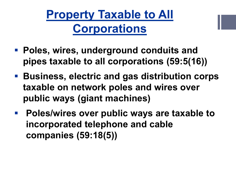**Property Taxable to All Corporations**

- **Poles, wires, underground conduits and pipes taxable to all corporations (59:5(16))**
- **Business, electric and gas distribution corps taxable on network poles and wires over public ways (giant machines)**
- **Poles/wires over public ways are taxable to incorporated telephone and cable companies (59:18(5))**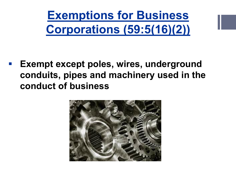**Exemptions for Business Corporations (59:5(16)(2))**

 **Exempt except poles, wires, underground conduits, pipes and machinery used in the conduct of business**

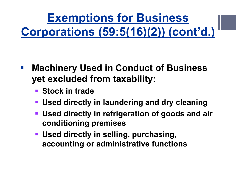**Exemptions for Business Corporations (59:5(16)(2)) (cont'd.)**

- **Machinery Used in Conduct of Business yet excluded from taxability:**
	- **F** Stock in trade
	- **Used directly in laundering and dry cleaning**
	- **Used directly in refrigeration of goods and air conditioning premises**
	- **Used directly in selling, purchasing, accounting or administrative functions**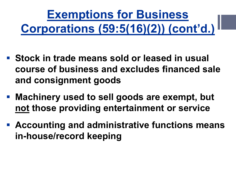# **Exemptions for Business Corporations (59:5(16)(2)) (cont'd.)**

- **Stock in trade means sold or leased in usual course of business and excludes financed sale and consignment goods**
- **Machinery used to sell goods are exempt, but not those providing entertainment or service**
- **Accounting and administrative functions means in-house/record keeping**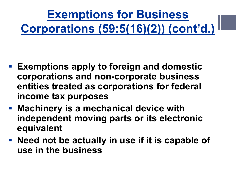**Exemptions for Business Corporations (59:5(16)(2)) (cont'd.)**

- **Exemptions apply to foreign and domestic corporations and non-corporate business entities treated as corporations for federal income tax purposes**
- **Machinery is a mechanical device with independent moving parts or its electronic equivalent**
- **Need not be actually in use if it is capable of use in the business**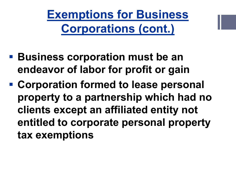**Exemptions for Business Corporations (cont.)**

- **Business corporation must be an endeavor of labor for profit or gain**
- **Corporation formed to lease personal property to a partnership which had no clients except an affiliated entity not entitled to corporate personal property tax exemptions**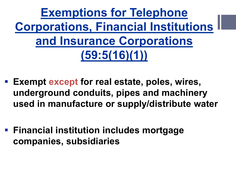**Exemptions for Telephone Corporations, Financial Institutions and Insurance Corporations (59:5(16)(1))**

- **Exempt except for real estate, poles, wires, underground conduits, pipes and machinery used in manufacture or supply/distribute water**
- **Financial institution includes mortgage companies, subsidiaries**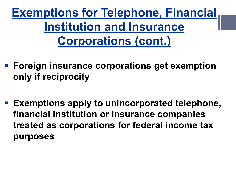**Exemptions for Telephone, Financial Institution and Insurance Corporations (cont.)**

- **Foreign insurance corporations get exemption only if reciprocity**
- **Exemptions apply to unincorporated telephone, financial institution or insurance companies treated as corporations for federal income tax purposes**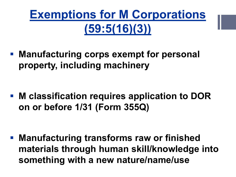

 **Manufacturing corps exempt for personal property, including machinery**

 **M classification requires application to DOR on or before 1/31 (Form 355Q)**

 **Manufacturing transforms raw or finished materials through human skill/knowledge into something with a new nature/name/use**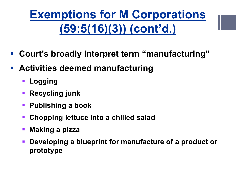## **Exemptions for M Corporations (59:5(16)(3)) (cont'd.)**

- **Court's broadly interpret term "manufacturing"**
- **Activities deemed manufacturing**
	- **Logging**
	- **Recycling junk**
	- **Publishing a book**
	- **Chopping lettuce into a chilled salad**
	- **Making a pizza**
	- **Developing a blueprint for manufacture of a product or prototype**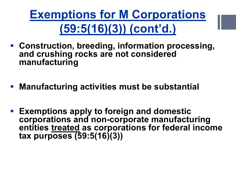**Exemptions for M Corporations (59:5(16)(3)) (cont'd.)**

- **Construction, breeding, information processing, and crushing rocks are not considered manufacturing**
- **Manufacturing activities must be substantial**
- **Exemptions apply to foreign and domestic corporations and non-corporate manufacturing entities treated as corporations for federal income tax purposes (59:5(16)(3))**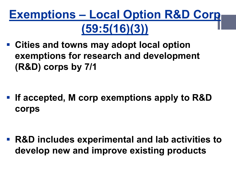### **Exemptions – Local Option R&D Corp (59:5(16)(3))**

 **Cities and towns may adopt local option exemptions for research and development (R&D) corps by 7/1**

 **If accepted, M corp exemptions apply to R&D corps**

 **R&D includes experimental and lab activities to develop new and improve existing products**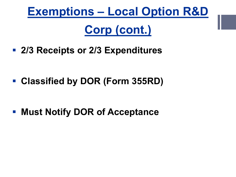# **Exemptions – Local Option R&D Corp (cont.)**

**2/3 Receipts or 2/3 Expenditures**

**Classified by DOR (Form 355RD)**

**- Must Notify DOR of Acceptance**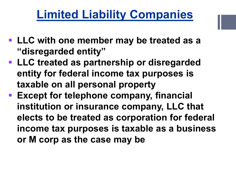#### **Limited Liability Companies**

- **LLC with one member may be treated as a "disregarded entity"**
- **LLC treated as partnership or disregarded entity for federal income tax purposes is taxable on all personal property**
- **Except for telephone company, financial institution or insurance company, LLC that elects to be treated as corporation for federal income tax purposes is taxable as a business or M corp as the case may be**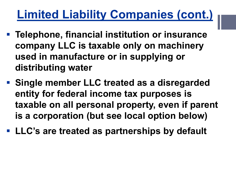### **Limited Liability Companies (cont.)**

- **Telephone, financial institution or insurance company LLC is taxable only on machinery used in manufacture or in supplying or distributing water**
- **Single member LLC treated as a disregarded entity for federal income tax purposes is taxable on all personal property, even if parent is a corporation (but see local option below)**
- **LLC's are treated as partnerships by default**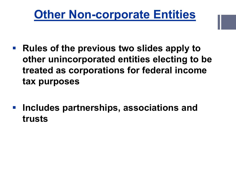#### **Other Non-corporate Entities**

- **Rules of the previous two slides apply to other unincorporated entities electing to be treated as corporations for federal income tax purposes**
- **Includes partnerships, associations and trusts**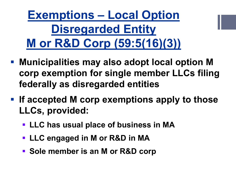**Exemptions – Local Option Disregarded Entity M or R&D Corp (59:5(16)(3))**

- **Municipalities may also adopt local option M corp exemption for single member LLCs filing federally as disregarded entities**
- **If accepted M corp exemptions apply to those LLCs, provided:**
	- **LLC has usual place of business in MA**
	- **LLC engaged in M or R&D in MA**
	- **Sole member is an M or R&D corp**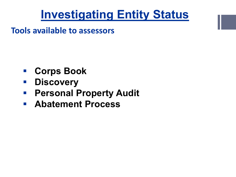#### **Investigating Entity Status**

**Tools available to assessors**

- **Corps Book**
- **Discovery**
- **Personal Property Audit**
- **Abatement Process**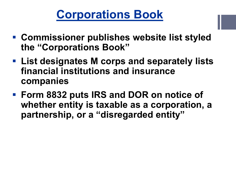#### **Corporations Book**

- **Commissioner publishes website list styled the "Corporations Book"**
- **List designates M corps and separately lists financial institutions and insurance companies**
- **Form 8832 puts IRS and DOR on notice of whether entity is taxable as a corporation, a partnership, or a "disregarded entity"**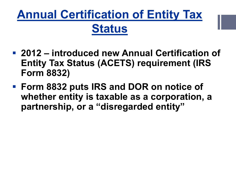## **Annual Certification of Entity Tax Status**

- **2012 – introduced new Annual Certification of Entity Tax Status (ACETS) requirement (IRS Form 8832)**
- **Form 8832 puts IRS and DOR on notice of whether entity is taxable as a corporation, a partnership, or a "disregarded entity"**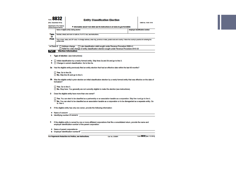| <b>8832</b><br>(Rav. December 2013)                                                                                          |                                                                                                                                                                                 | <b>Entity Classification Election</b>                                        |  | OMB No. 1545-1516                     |  |
|------------------------------------------------------------------------------------------------------------------------------|---------------------------------------------------------------------------------------------------------------------------------------------------------------------------------|------------------------------------------------------------------------------|--|---------------------------------------|--|
| Department of the Treasury<br><b>Internal Revenue Service</b>                                                                |                                                                                                                                                                                 | Information about Form 8832 and its instructions is at www.irs.gov/form8832. |  |                                       |  |
| <b>Type</b><br>or<br><b>Print</b>                                                                                            | Name of eligible entity making election                                                                                                                                         |                                                                              |  | <b>Employer Identification number</b> |  |
|                                                                                                                              |                                                                                                                                                                                 | Number, street, and room or sulte no. If a P.O. box, see instructions.       |  |                                       |  |
|                                                                                                                              | City or town, state, and ZIP code. If a foreign address, enter city, province or state, postal code and country. Follow the country's practice for entering the<br>postal code. |                                                                              |  |                                       |  |
| □ Late classification relief sought under Revenue Procedure 2009-41<br>$\blacktriangleright$ Check if: $\Box$ Address change |                                                                                                                                                                                 |                                                                              |  |                                       |  |
| □ Relief for a late change of entity classification election sought under Revenue Procedure 2010-32                          |                                                                                                                                                                                 |                                                                              |  |                                       |  |
| <b>Election Information</b><br>Part I                                                                                        |                                                                                                                                                                                 |                                                                              |  |                                       |  |

- 1 Type of election (see instructions):
- a | Initial classification by a newly-formed entity. Skip lines 2a and 2b and go to line 3.
- **b** Change in current classification. Go to line 2a.
- 2a Has the eligible entity previously filed an entity election that had an effective date within the last 60 months?

Yes. Go to line 2b. No. Skip line 2b and go to line 3.

2b Was the eligible entity's prior election an initial classification election by a newly formed entity that was effective on the date of formation?

Yes. Go to line 3. No. Stop here. You generally are not currently eligible to make the election (see instructions).

3 Does the eligible entity have more than one owner?

□ Yes. You can elect to be classified as a partnership or an association taxable as a corporation. Skip line 4 and go to line 5.  $\Box$  No. You can elect to be classified as an association taxable as a corporation or to be disregarded as a separate entity. Go to line 4.

- 4 If the eligible entity has only one owner, provide the following information:
- a Name of owner
- **b** Identifying number of owner
- 5 If the eligible entity is owned by one or more affiliated corporations that file a consolidated return, provide the name and employer identification number of the parent corporation:
- 

Cat. No. 22598R

For Paperwork Reduction Act Notice, see Instructions.

Form 8832 (Rev. 12-2013)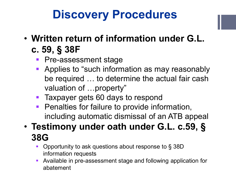### **Discovery Procedures**

- **Written return of information under G.L. c. 59, § 38F**
	- **Pre-assessment stage**
	- **Applies to "such information as may reasonably** be required … to determine the actual fair cash valuation of …property"
	- **Taxpayer gets 60 days to respond**
	- **Penalties for failure to provide information,** including automatic dismissal of an ATB appeal
- **Testimony under oath under G.L. c.59, § 38G**
	- Opportunity to ask questions about response to § 38D information requests
	- Available in pre-assessment stage and following application for abatement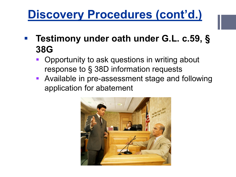#### **Discovery Procedures (cont'd.)**

- **Testimony under oath under G.L. c.59, § 38G**
	- Opportunity to ask questions in writing about response to § 38D information requests
	- **Available in pre-assessment stage and following** application for abatement

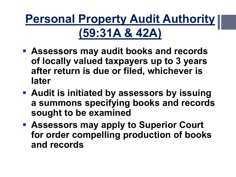**Personal Property Audit Authority (59:31A & 42A)**

- **Assessors may audit books and records of locally valued taxpayers up to 3 years after return is due or filed, whichever is later**
- **Audit is initiated by assessors by issuing a summons specifying books and records sought to be examined**
- **Assessors may apply to Superior Court for order compelling production of books and records**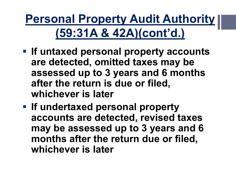**Personal Property Audit Authority (59:31A & 42A)(cont'd.)**

- **If untaxed personal property accounts are detected, omitted taxes may be assessed up to 3 years and 6 months after the return is due or filed, whichever is later**
- **If undertaxed personal property accounts are detected, revised taxes may be assessed up to 3 years and 6 months after the return due or filed, whichever is later**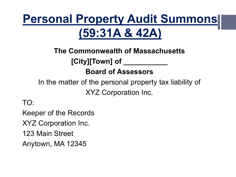### **Personal Property Audit Summons (59:31A & 42A)**

#### **The Commonwealth of Massachusetts [City][Town] of \_\_\_\_\_\_\_\_\_\_\_**

#### **Board of Assessors**

In the matter of the personal property tax liability of

XYZ Corporation Inc.

TO:

Keeper of the Records

XYZ Corporation Inc.

123 Main Street

Anytown, MA 12345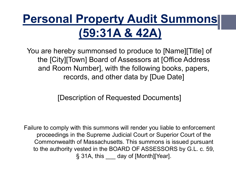### **Personal Property Audit Summons (59:31A & 42A)**

You are hereby summonsed to produce to [Name][Title] of the [City][Town] Board of Assessors at [Office Address and Room Number], with the following books, papers, records, and other data by [Due Date]

[Description of Requested Documents]

Failure to comply with this summons will render you liable to enforcement proceedings in the Supreme Judicial Court or Superior Court of the Commonwealth of Massachusetts. This summons is issued pursuant to the authority vested in the BOARD OF ASSESSORS by G.L. c. 59, § 31A, this \_\_\_ day of [Month][Year].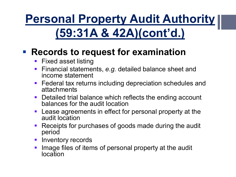**Personal Property Audit Authority (59:31A & 42A)(cont'd.)**

#### **Records to request for examination**

- **Fixed asset listing**
- **Financial statements, e.g. detailed balance sheet and** income statement
- **Federal tax returns including depreciation schedules and** attachments
- Detailed trial balance which reflects the ending account balances for the audit location
- **Lease agreements in effect for personal property at the** audit location
- **Receipts for purchases of goods made during the audit** period
- **Inventory records**
- **Image files of items of personal property at the audit** location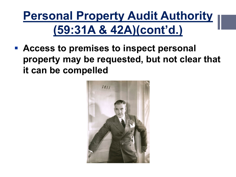## **Personal Property Audit Authority (59:31A & 42A)(cont'd.)**

 **Access to premises to inspect personal property may be requested, but not clear that it can be compelled**

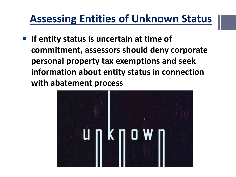#### **Assessing Entities of Unknown Status**

**If entity status is uncertain at time of commitment, assessors should deny corporate personal property tax exemptions and seek information about entity status in connection with abatement process**

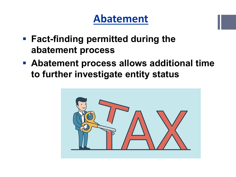#### **Abatement**

- **Fact-finding permitted during the abatement process**
- **Abatement process allows additional time to further investigate entity status**